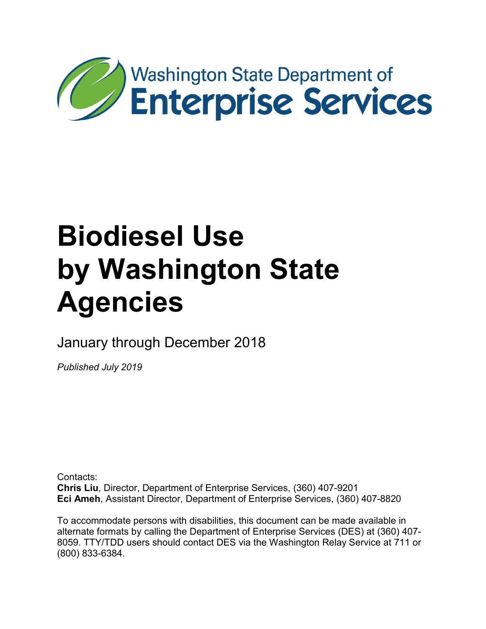

# **Biodiesel Use by Washington State Agencies**

January through December 2018

*Published July 2019*

Contacts: **Chris Liu**, Director, Department of Enterprise Services, (360) 407-9201 **Eci Ameh**, Assistant Director, Department of Enterprise Services, (360) 407-8820

To accommodate persons with disabilities, this document can be made available in alternate formats by calling the Department of Enterprise Services (DES) at (360) 407- 8059. TTY/TDD users should contact DES via the Washington Relay Service at 711 or (800) 833-6384.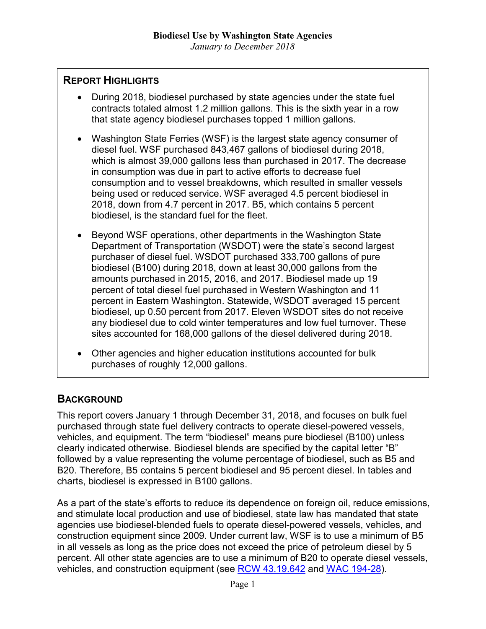# **REPORT HIGHLIGHTS**

- During 2018, biodiesel purchased by state agencies under the state fuel contracts totaled almost 1.2 million gallons. This is the sixth year in a row that state agency biodiesel purchases topped 1 million gallons.
- Washington State Ferries (WSF) is the largest state agency consumer of diesel fuel. WSF purchased 843,467 gallons of biodiesel during 2018, which is almost 39,000 gallons less than purchased in 2017. The decrease in consumption was due in part to active efforts to decrease fuel consumption and to vessel breakdowns, which resulted in smaller vessels being used or reduced service. WSF averaged 4.5 percent biodiesel in 2018, down from 4.7 percent in 2017. B5, which contains 5 percent biodiesel, is the standard fuel for the fleet.
- Beyond WSF operations, other departments in the Washington State Department of Transportation (WSDOT) were the state's second largest purchaser of diesel fuel. WSDOT purchased 333,700 gallons of pure biodiesel (B100) during 2018, down at least 30,000 gallons from the amounts purchased in 2015, 2016, and 2017. Biodiesel made up 19 percent of total diesel fuel purchased in Western Washington and 11 percent in Eastern Washington. Statewide, WSDOT averaged 15 percent biodiesel, up 0.50 percent from 2017. Eleven WSDOT sites do not receive any biodiesel due to cold winter temperatures and low fuel turnover. These sites accounted for 168,000 gallons of the diesel delivered during 2018.
- Other agencies and higher education institutions accounted for bulk purchases of roughly 12,000 gallons.

# **BACKGROUND**

This report covers January 1 through December 31, 2018, and focuses on bulk fuel purchased through state fuel delivery contracts to operate diesel-powered vessels, vehicles, and equipment. The term "biodiesel" means pure biodiesel (B100) unless clearly indicated otherwise. Biodiesel blends are specified by the capital letter "B" followed by a value representing the volume percentage of biodiesel, such as B5 and B20. Therefore, B5 contains 5 percent biodiesel and 95 percent diesel. In tables and charts, biodiesel is expressed in B100 gallons.

As a part of the state's efforts to reduce its dependence on foreign oil, reduce emissions, and stimulate local production and use of biodiesel, state law has mandated that state agencies use biodiesel-blended fuels to operate diesel-powered vessels, vehicles, and construction equipment since 2009. Under current law, WSF is to use a minimum of B5 in all vessels as long as the price does not exceed the price of petroleum diesel by 5 percent. All other state agencies are to use a minimum of B20 to operate diesel vessels, vehicles, and construction equipment (see [RCW 43.19.642](http://app.leg.wa.gov/rcw/default.aspx?cite=43.19.642) and WAC [194-28\)](http://app.leg.wa.gov/wac/default.aspx?cite=194-28&full=true).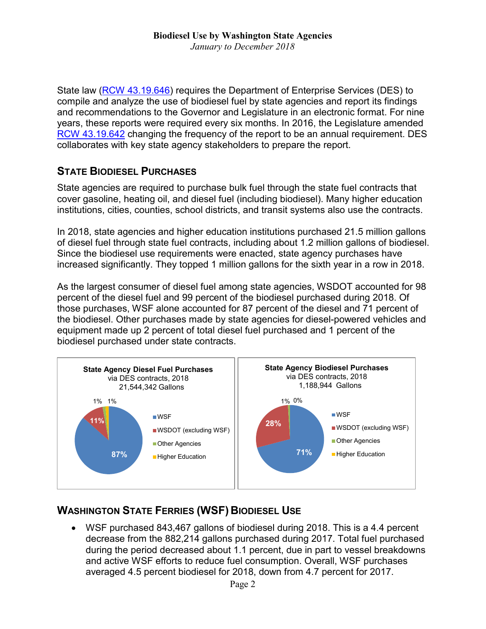State law [\(RCW 43.19.646\)](http://app.leg.wa.gov/rcw/default.aspx?cite=43.19.646) requires the Department of Enterprise Services (DES) to compile and analyze the use of biodiesel fuel by state agencies and report its findings and recommendations to the Governor and Legislature in an electronic format. For nine years, these reports were required every six months. In 2016, the Legislature amended [RCW 43.19.642](http://app.leg.wa.gov/rcw/default.aspx?cite=43.19.642) changing the frequency of the report to be an annual requirement. DES collaborates with key state agency stakeholders to prepare the report.

# **STATE BIODIESEL PURCHASES**

State agencies are required to purchase bulk fuel through the state fuel contracts that cover gasoline, heating oil, and diesel fuel (including biodiesel). Many higher education institutions, cities, counties, school districts, and transit systems also use the contracts.

In 2018, state agencies and higher education institutions purchased 21.5 million gallons of diesel fuel through state fuel contracts, including about 1.2 million gallons of biodiesel. Since the biodiesel use requirements were enacted, state agency purchases have increased significantly. They topped 1 million gallons for the sixth year in a row in 2018.

As the largest consumer of diesel fuel among state agencies, WSDOT accounted for 98 percent of the diesel fuel and 99 percent of the biodiesel purchased during 2018. Of those purchases, WSF alone accounted for 87 percent of the diesel and 71 percent of the biodiesel. Other purchases made by state agencies for diesel-powered vehicles and equipment made up 2 percent of total diesel fuel purchased and 1 percent of the biodiesel purchased under state contracts.



# **WASHINGTON STATE FERRIES (WSF) BIODIESEL USE**

• WSF purchased 843,467 gallons of biodiesel during 2018. This is a 4.4 percent decrease from the 882,214 gallons purchased during 2017. Total fuel purchased during the period decreased about 1.1 percent, due in part to vessel breakdowns and active WSF efforts to reduce fuel consumption. Overall, WSF purchases averaged 4.5 percent biodiesel for 2018, down from 4.7 percent for 2017.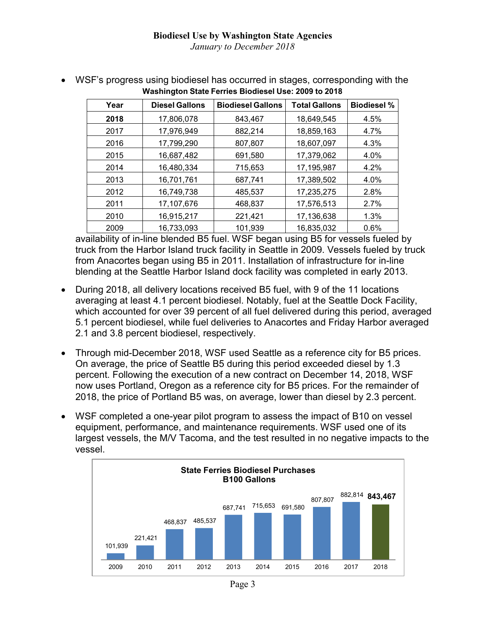| Year | <b>Diesel Gallons</b> | <b>Biodiesel Gallons</b> | <b>Total Gallons</b> | <b>Biodiesel %</b> |
|------|-----------------------|--------------------------|----------------------|--------------------|
| 2018 | 17,806,078            | 843.467                  | 18,649,545           | 4.5%               |
| 2017 | 17,976,949            | 882,214                  | 18,859,163           | 4.7%               |
| 2016 | 17,799,290            | 807,807                  | 18,607,097           | 4.3%               |
| 2015 | 16,687,482            | 691,580                  | 17,379,062           | 4.0%               |
| 2014 | 16,480,334            | 715,653                  | 17,195,987           | 4.2%               |
| 2013 | 16,701,761            | 687,741                  | 17,389,502           | 4.0%               |
| 2012 | 16,749,738            | 485,537                  | 17,235,275           | 2.8%               |
| 2011 | 17,107,676            | 468,837                  | 17,576,513           | 2.7%               |
| 2010 | 16,915,217            | 221,421                  | 17,136,638           | 1.3%               |
| 2009 | 16,733,093            | 101,939                  | 16,835,032           | 0.6%               |

• WSF's progress using biodiesel has occurred in stages, corresponding with the **Washington State Ferries Biodiesel Use: 2009 to 2018**

availability of in-line blended B5 fuel. WSF began using B5 for vessels fueled by truck from the Harbor Island truck facility in Seattle in 2009. Vessels fueled by truck from Anacortes began using B5 in 2011. Installation of infrastructure for in-line blending at the Seattle Harbor Island dock facility was completed in early 2013.

- During 2018, all delivery locations received B5 fuel, with 9 of the 11 locations averaging at least 4.1 percent biodiesel. Notably, fuel at the Seattle Dock Facility, which accounted for over 39 percent of all fuel delivered during this period, averaged 5.1 percent biodiesel, while fuel deliveries to Anacortes and Friday Harbor averaged 2.1 and 3.8 percent biodiesel, respectively.
- Through mid-December 2018, WSF used Seattle as a reference city for B5 prices. On average, the price of Seattle B5 during this period exceeded diesel by 1.3 percent. Following the execution of a new contract on December 14, 2018, WSF now uses Portland, Oregon as a reference city for B5 prices. For the remainder of 2018, the price of Portland B5 was, on average, lower than diesel by 2.3 percent.
- WSF completed a one-year pilot program to assess the impact of B10 on vessel equipment, performance, and maintenance requirements. WSF used one of its largest vessels, the M/V Tacoma, and the test resulted in no negative impacts to the vessel.

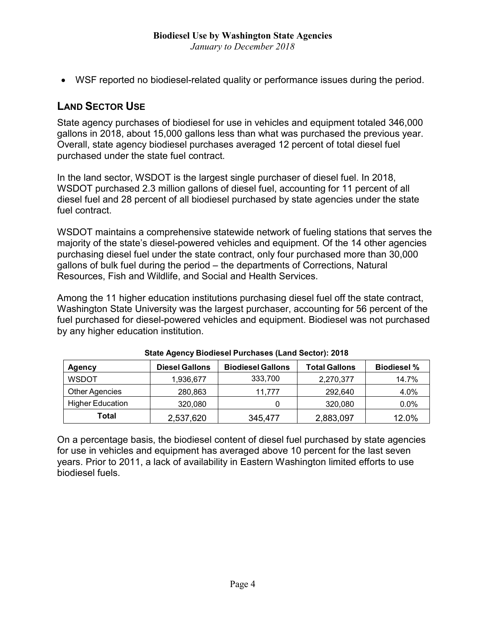• WSF reported no biodiesel-related quality or performance issues during the period.

## **LAND SECTOR USE**

State agency purchases of biodiesel for use in vehicles and equipment totaled 346,000 gallons in 2018, about 15,000 gallons less than what was purchased the previous year. Overall, state agency biodiesel purchases averaged 12 percent of total diesel fuel purchased under the state fuel contract.

In the land sector, WSDOT is the largest single purchaser of diesel fuel. In 2018, WSDOT purchased 2.3 million gallons of diesel fuel, accounting for 11 percent of all diesel fuel and 28 percent of all biodiesel purchased by state agencies under the state fuel contract.

WSDOT maintains a comprehensive statewide network of fueling stations that serves the majority of the state's diesel-powered vehicles and equipment. Of the 14 other agencies purchasing diesel fuel under the state contract, only four purchased more than 30,000 gallons of bulk fuel during the period – the departments of Corrections, Natural Resources, Fish and Wildlife, and Social and Health Services.

Among the 11 higher education institutions purchasing diesel fuel off the state contract, Washington State University was the largest purchaser, accounting for 56 percent of the fuel purchased for diesel-powered vehicles and equipment. Biodiesel was not purchased by any higher education institution.

| <b>Agency</b>           | <b>Diesel Gallons</b> | <b>Biodiesel Gallons</b> | <b>Total Gallons</b> | <b>Biodiesel %</b> |
|-------------------------|-----------------------|--------------------------|----------------------|--------------------|
| <b>WSDOT</b>            | 1,936,677             | 333,700                  | 2,270,377            | 14.7%              |
| <b>Other Agencies</b>   | 280,863               | 11.777                   | 292.640              | 4.0%               |
| <b>Higher Education</b> | 320,080               |                          | 320,080              | 0.0%               |
| Total                   | 2,537,620             | 345,477                  | 2,883,097            | 12.0%              |

On a percentage basis, the biodiesel content of diesel fuel purchased by state agencies for use in vehicles and equipment has averaged above 10 percent for the last seven years. Prior to 2011, a lack of availability in Eastern Washington limited efforts to use biodiesel fuels.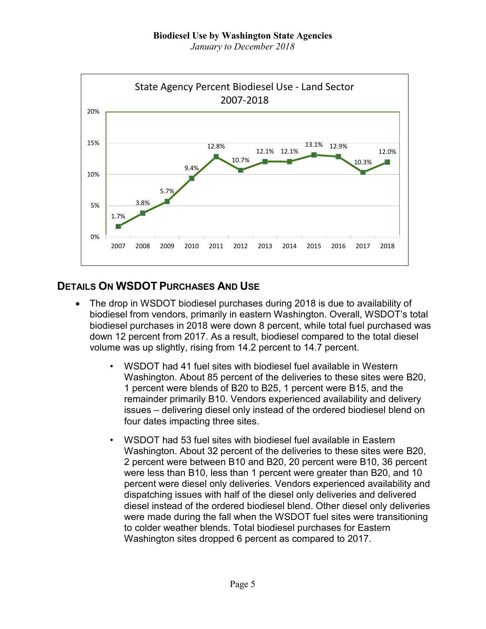*January to December 2018*



# **DETAILS ON WSDOT PURCHASES AND USE**

- The drop in WSDOT biodiesel purchases during 2018 is due to availability of biodiesel from vendors, primarily in eastern Washington. Overall, WSDOT's total biodiesel purchases in 2018 were down 8 percent, while total fuel purchased was down 12 percent from 2017. As a result, biodiesel compared to the total diesel volume was up slightly, rising from 14.2 percent to 14.7 percent.
	- WSDOT had 41 fuel sites with biodiesel fuel available in Western Washington. About 85 percent of the deliveries to these sites were B20, 1 percent were blends of B20 to B25, 1 percent were B15, and the remainder primarily B10. Vendors experienced availability and delivery issues – delivering diesel only instead of the ordered biodiesel blend on four dates impacting three sites.
	- WSDOT had 53 fuel sites with biodiesel fuel available in Eastern Washington. About 32 percent of the deliveries to these sites were B20, 2 percent were between B10 and B20, 20 percent were B10, 36 percent were less than B10, less than 1 percent were greater than B20, and 10 percent were diesel only deliveries. Vendors experienced availability and dispatching issues with half of the diesel only deliveries and delivered diesel instead of the ordered biodiesel blend. Other diesel only deliveries were made during the fall when the WSDOT fuel sites were transitioning to colder weather blends. Total biodiesel purchases for Eastern Washington sites dropped 6 percent as compared to 2017.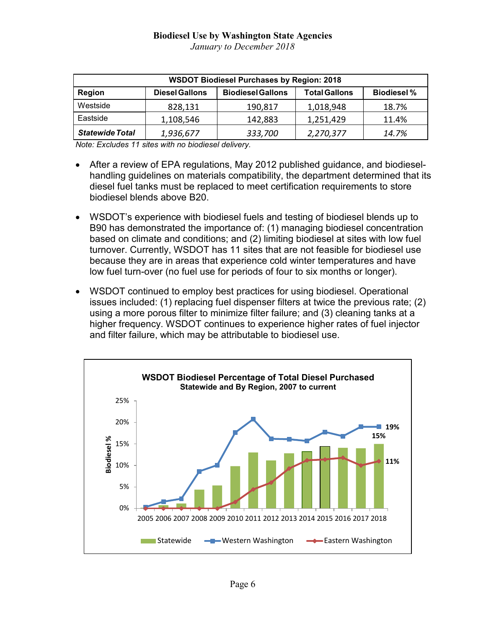#### **Biodiesel Use by Washington State Agencies** *January to December 2018*

| <b>WSDOT Biodiesel Purchases by Region: 2018</b> |                       |                          |                      |                    |  |  |
|--------------------------------------------------|-----------------------|--------------------------|----------------------|--------------------|--|--|
| <b>Region</b>                                    | <b>Diesel Gallons</b> | <b>Biodiesel Gallons</b> | <b>Total Gallons</b> | <b>Biodiesel %</b> |  |  |
| Westside                                         | 828,131               | 190,817                  | 1,018,948            | 18.7%              |  |  |
| Eastside                                         | 1,108,546             | 142,883                  | 1,251,429            | 11.4%              |  |  |
| <b>Statewide Total</b>                           | 1,936,677             | 333,700                  | 2,270,377            | 14.7%              |  |  |

*Note: Excludes 11 sites with no biodiesel delivery.*

- After a review of EPA regulations, May 2012 published guidance, and biodieselhandling guidelines on materials compatibility, the department determined that its diesel fuel tanks must be replaced to meet certification requirements to store biodiesel blends above B20.
- WSDOT's experience with biodiesel fuels and testing of biodiesel blends up to B90 has demonstrated the importance of: (1) managing biodiesel concentration based on climate and conditions; and (2) limiting biodiesel at sites with low fuel turnover. Currently, WSDOT has 11 sites that are not feasible for biodiesel use because they are in areas that experience cold winter temperatures and have low fuel turn-over (no fuel use for periods of four to six months or longer).
- WSDOT continued to employ best practices for using biodiesel. Operational issues included: (1) replacing fuel dispenser filters at twice the previous rate; (2) using a more porous filter to minimize filter failure; and (3) cleaning tanks at a higher frequency. WSDOT continues to experience higher rates of fuel injector and filter failure, which may be attributable to biodiesel use.

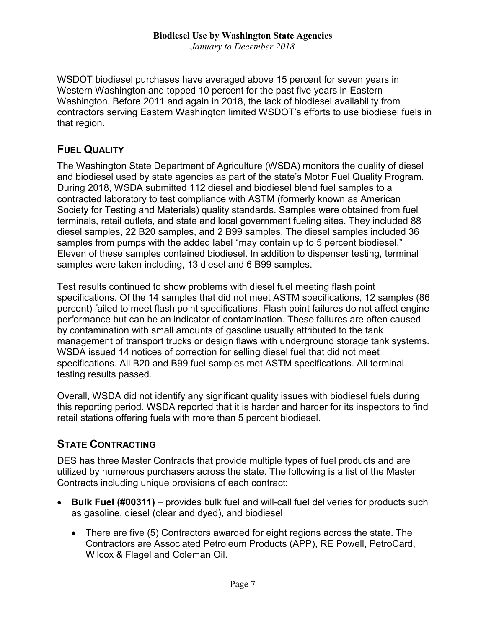WSDOT biodiesel purchases have averaged above 15 percent for seven years in Western Washington and topped 10 percent for the past five years in Eastern Washington. Before 2011 and again in 2018, the lack of biodiesel availability from contractors serving Eastern Washington limited WSDOT's efforts to use biodiesel fuels in that region.

## **FUEL QUALITY**

The Washington State Department of Agriculture (WSDA) monitors the quality of diesel and biodiesel used by state agencies as part of the state's Motor Fuel Quality Program. During 2018, WSDA submitted 112 diesel and biodiesel blend fuel samples to a contracted laboratory to test compliance with ASTM (formerly known as American Society for Testing and Materials) quality standards. Samples were obtained from fuel terminals, retail outlets, and state and local government fueling sites. They included 88 diesel samples, 22 B20 samples, and 2 B99 samples. The diesel samples included 36 samples from pumps with the added label "may contain up to 5 percent biodiesel." Eleven of these samples contained biodiesel. In addition to dispenser testing, terminal samples were taken including, 13 diesel and 6 B99 samples.

Test results continued to show problems with diesel fuel meeting flash point specifications. Of the 14 samples that did not meet ASTM specifications, 12 samples (86 percent) failed to meet flash point specifications. Flash point failures do not affect engine performance but can be an indicator of contamination. These failures are often caused by contamination with small amounts of gasoline usually attributed to the tank management of transport trucks or design flaws with underground storage tank systems. WSDA issued 14 notices of correction for selling diesel fuel that did not meet specifications. All B20 and B99 fuel samples met ASTM specifications. All terminal testing results passed.

Overall, WSDA did not identify any significant quality issues with biodiesel fuels during this reporting period. WSDA reported that it is harder and harder for its inspectors to find retail stations offering fuels with more than 5 percent biodiesel.

## **STATE CONTRACTING**

DES has three Master Contracts that provide multiple types of fuel products and are utilized by numerous purchasers across the state. The following is a list of the Master Contracts including unique provisions of each contract:

- **Bulk Fuel (#00311)** provides bulk fuel and will-call fuel deliveries for products such as gasoline, diesel (clear and dyed), and biodiesel
	- There are five (5) Contractors awarded for eight regions across the state. The Contractors are Associated Petroleum Products (APP), RE Powell, PetroCard, Wilcox & Flagel and Coleman Oil.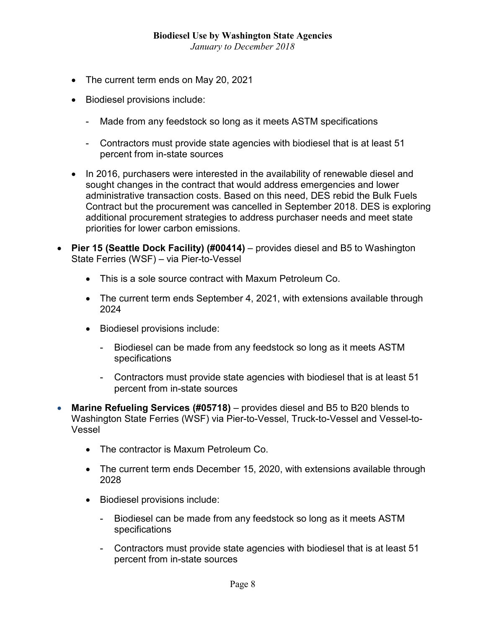- The current term ends on May 20, 2021
- Biodiesel provisions include:
	- Made from any feedstock so long as it meets ASTM specifications
	- Contractors must provide state agencies with biodiesel that is at least 51 percent from in-state sources
- In 2016, purchasers were interested in the availability of renewable diesel and sought changes in the contract that would address emergencies and lower administrative transaction costs. Based on this need, DES rebid the Bulk Fuels Contract but the procurement was cancelled in September 2018. DES is exploring additional procurement strategies to address purchaser needs and meet state priorities for lower carbon emissions.
- **Pier 15 (Seattle Dock Facility) (#00414)** provides diesel and B5 to Washington State Ferries (WSF) – via Pier-to-Vessel
	- This is a sole source contract with Maxum Petroleum Co.
	- The current term ends September 4, 2021, with extensions available through 2024
	- Biodiesel provisions include:
		- Biodiesel can be made from any feedstock so long as it meets ASTM specifications
		- Contractors must provide state agencies with biodiesel that is at least 51 percent from in-state sources
- **Marine Refueling Services (#05718)** provides diesel and B5 to B20 blends to Washington State Ferries (WSF) via Pier-to-Vessel, Truck-to-Vessel and Vessel-to-Vessel
	- The contractor is Maxum Petroleum Co.
	- The current term ends December 15, 2020, with extensions available through 2028
	- Biodiesel provisions include:
		- Biodiesel can be made from any feedstock so long as it meets ASTM specifications
		- Contractors must provide state agencies with biodiesel that is at least 51 percent from in-state sources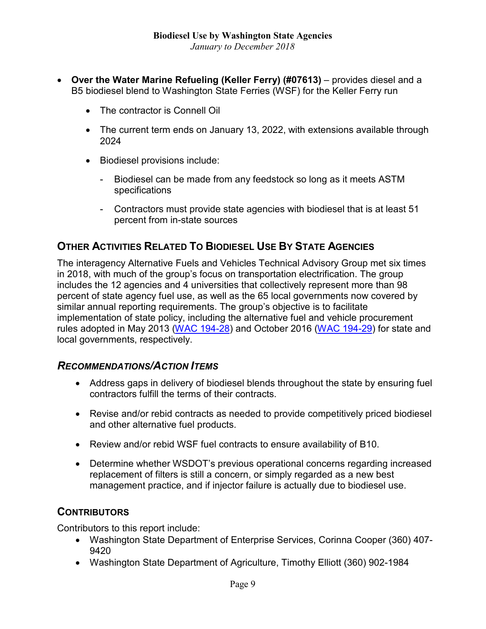- **Over the Water Marine Refueling (Keller Ferry) (#07613)** provides diesel and a B5 biodiesel blend to Washington State Ferries (WSF) for the Keller Ferry run
	- The contractor is Connell Oil
	- The current term ends on January 13, 2022, with extensions available through 2024
	- Biodiesel provisions include:
		- Biodiesel can be made from any feedstock so long as it meets ASTM specifications
		- Contractors must provide state agencies with biodiesel that is at least 51 percent from in-state sources

# **OTHER ACTIVITIES RELATED TO BIODIESEL USE BY STATE AGENCIES**

The interagency Alternative Fuels and Vehicles Technical Advisory Group met six times in 2018, with much of the group's focus on transportation electrification. The group includes the 12 agencies and 4 universities that collectively represent more than 98 percent of state agency fuel use, as well as the 65 local governments now covered by similar annual reporting requirements. The group's objective is to facilitate implementation of state policy, including the alternative fuel and vehicle procurement rules adopted in May 2013 [\(WAC 194-28\)](https://apps.leg.wa.gov/wac/default.aspx?cite=194-28) and October 2016 [\(WAC 194-29\)](http://app.leg.wa.gov/wac/default.aspx?cite=194-29) for state and local governments, respectively.

## *RECOMMENDATIONS/ACTION ITEMS*

- Address gaps in delivery of biodiesel blends throughout the state by ensuring fuel contractors fulfill the terms of their contracts.
- Revise and/or rebid contracts as needed to provide competitively priced biodiesel and other alternative fuel products.
- Review and/or rebid WSF fuel contracts to ensure availability of B10.
- Determine whether WSDOT's previous operational concerns regarding increased replacement of filters is still a concern, or simply regarded as a new best management practice, and if injector failure is actually due to biodiesel use.

## **CONTRIBUTORS**

Contributors to this report include:

- Washington State Department of Enterprise Services, Corinna Cooper (360) 407- 9420
- Washington State Department of Agriculture, Timothy Elliott (360) 902-1984